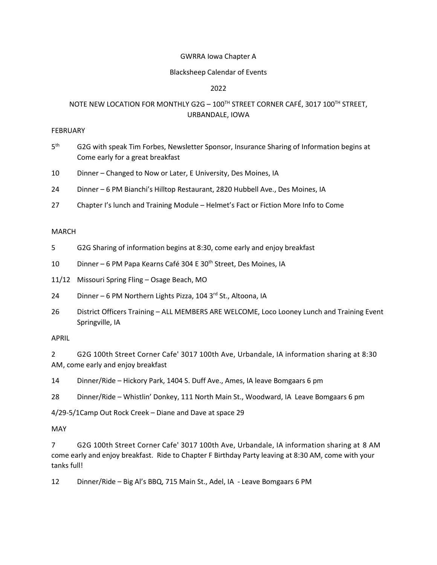### GWRRA Iowa Chapter A

### Blacksheep Calendar of Events

## 2022

# NOTE NEW LOCATION FOR MONTHLY G2G - 100TH STREET CORNER CAFÉ, 3017 100TH STREET, URBANDALE, IOWA

### FEBRUARY

- $5<sup>th</sup>$ G2G with speak Tim Forbes, Newsletter Sponsor, Insurance Sharing of Information begins at Come early for a great breakfast
- 10 Dinner Changed to Now or Later, E University, Des Moines, IA
- 24 Dinner 6 PM Bianchi's Hilltop Restaurant, 2820 Hubbell Ave., Des Moines, IA
- 27 Chapter I's lunch and Training Module Helmet's Fact or Fiction More Info to Come

### MARCH

- 5 G2G Sharing of information begins at 8:30, come early and enjoy breakfast
- 10 Dinner 6 PM Papa Kearns Café 304 E 30<sup>th</sup> Street, Des Moines, IA

11/12 Missouri Spring Fling – Osage Beach, MO

- 24 Dinner 6 PM Northern Lights Pizza, 104 3<sup>rd</sup> St., Altoona, IA
- 26 District Officers Training ALL MEMBERS ARE WELCOME, Loco Looney Lunch and Training Event Springville, IA

### APRIL

2 G2G 100th Street Corner Cafe' 3017 100th Ave, Urbandale, IA information sharing at 8:30 AM, come early and enjoy breakfast

14 Dinner/Ride – Hickory Park, 1404 S. Duff Ave., Ames, IA leave Bomgaars 6 pm

28 Dinner/Ride – Whistlin' Donkey, 111 North Main St., Woodward, IA Leave Bomgaars 6 pm

4/29-5/1Camp Out Rock Creek – Diane and Dave at space 29

### MAY

7 G2G 100th Street Corner Cafe' 3017 100th Ave, Urbandale, IA information sharing at 8 AM come early and enjoy breakfast. Ride to Chapter F Birthday Party leaving at 8:30 AM, come with your tanks full!

12 Dinner/Ride – Big Al's BBQ, 715 Main St., Adel, IA - Leave Bomgaars 6 PM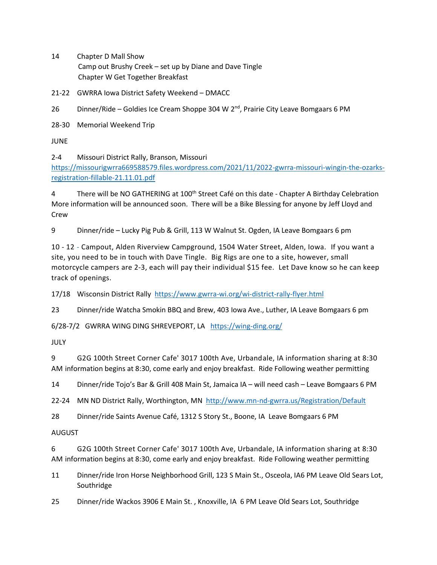- 14 Chapter D Mall Show Camp out Brushy Creek – set up by Diane and Dave Tingle Chapter W Get Together Breakfast
- 21-22 GWRRA Iowa District Safety Weekend DMACC
- 26 Dinner/Ride Goldies Ice Cream Shoppe 304 W 2<sup>nd</sup>, Prairie City Leave Bomgaars 6 PM

28-30 Memorial Weekend Trip

JUNE

2-4 Missouri District Rally, Branson, Missouri

[https://missourigwrra669588579.files.wordpress.com/2021/11/2022-gwrra-missouri-wingin-the-ozarks](https://missourigwrra669588579.files.wordpress.com/2021/11/2022-gwrra-missouri-wingin-the-ozarks-registration-fillable-21.11.01.pdf)[registration-fillable-21.11.01.pdf](https://missourigwrra669588579.files.wordpress.com/2021/11/2022-gwrra-missouri-wingin-the-ozarks-registration-fillable-21.11.01.pdf)

4 There will be NO GATHERING at 100th Street Café on this date - Chapter A Birthday Celebration More information will be announced soon. There will be a Bike Blessing for anyone by Jeff Lloyd and Crew

9 Dinner/ride – Lucky Pig Pub & Grill, 113 W Walnut St. Ogden, IA Leave Bomgaars 6 pm

10 - 12 - Campout, Alden Riverview Campground, 1504 Water Street, Alden, Iowa. If you want a site, you need to be in touch with Dave Tingle. Big Rigs are one to a site, however, small motorcycle campers are 2-3, each will pay their individual \$15 fee. Let Dave know so he can keep track of openings.

17/18 Wisconsin District Rally<https://www.gwrra-wi.org/wi-district-rally-flyer.html>

23 Dinner/ride Watcha Smokin BBQ and Brew, 403 Iowa Ave., Luther, IA Leave Bomgaars 6 pm

6/28-7/2 GWRRA WING DING SHREVEPORT, LA <https://wing-ding.org/>

JULY

9 G2G 100th Street Corner Cafe' 3017 100th Ave, Urbandale, IA information sharing at 8:30 AM information begins at 8:30, come early and enjoy breakfast. Ride Following weather permitting

14 Dinner/ride Tojo's Bar & Grill 408 Main St, Jamaica IA – will need cash – Leave Bomgaars 6 PM

22-24 MN ND District Rally, Worthington, MN<http://www.mn-nd-gwrra.us/Registration/Default>

28 Dinner/ride Saints Avenue Café, 1312 S Story St., Boone, IA Leave Bomgaars 6 PM

## AUGUST

6 G2G 100th Street Corner Cafe' 3017 100th Ave, Urbandale, IA information sharing at 8:30 AM information begins at 8:30, come early and enjoy breakfast. Ride Following weather permitting

- 11 Dinner/ride Iron Horse Neighborhood Grill, 123 S Main St., Osceola, IA6 PM Leave Old Sears Lot, Southridge
- 25 Dinner/ride Wackos 3906 E Main St. , Knoxville, IA 6 PM Leave Old Sears Lot, Southridge